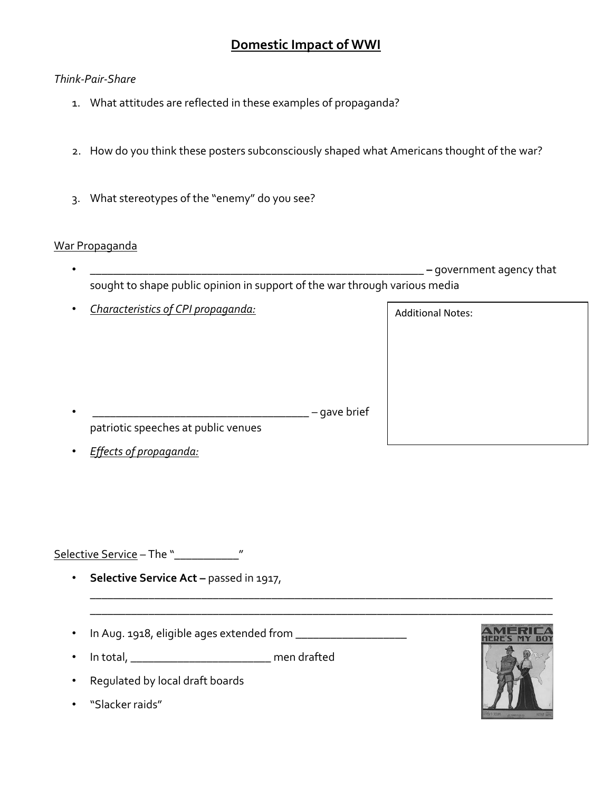## *Think-Pair-Share*

- 1. What attitudes are reflected in these examples of propaganda?
- 2. How do you think these posters subconsciously shaped what Americans thought of the war?
- 3. What stereotypes of the "enemy" do you see?

### War Propaganda

• **\_\_\_\_\_\_\_\_\_\_\_\_\_\_\_\_\_\_\_\_\_\_\_\_\_\_\_\_\_\_\_\_\_\_\_\_\_\_\_\_\_\_\_\_\_\_\_\_\_\_\_\_\_\_\_\_\_ –** government agency that sought to shape public opinion in support of the war through various media

\_\_\_\_\_\_\_\_\_\_\_\_\_\_\_\_\_\_\_\_\_\_\_\_\_\_\_\_\_\_\_\_\_\_\_\_\_\_\_\_\_\_\_\_\_\_\_\_\_\_\_\_\_\_\_\_\_\_\_\_\_\_\_\_\_\_\_\_\_\_\_\_\_\_\_\_\_\_\_ \_\_\_\_\_\_\_\_\_\_\_\_\_\_\_\_\_\_\_\_\_\_\_\_\_\_\_\_\_\_\_\_\_\_\_\_\_\_\_\_\_\_\_\_\_\_\_\_\_\_\_\_\_\_\_\_\_\_\_\_\_\_\_\_\_\_\_\_\_\_\_\_\_\_\_\_\_\_\_

• *Characteristics of CPI propaganda:* 

Additional Notes:

- **\_\_\_\_\_\_\_\_\_\_\_\_\_\_\_\_\_\_\_\_\_\_\_\_\_\_\_\_\_\_\_\_\_\_\_\_\_** gave brief patriotic speeches at public venues
- *Effects of propaganda:*

Selective Service - The "\_\_\_\_\_\_\_\_\_\_\_\_\_\_"

- **Selective Service Act –** passed in 1917,
- In Aug. 1918, eligible ages extended from \_\_\_\_\_\_\_\_\_\_\_\_\_\_\_\_\_\_\_
- In total, \_\_\_\_\_\_\_\_\_\_\_\_\_\_\_\_\_\_\_\_\_\_\_\_\_\_ men drafted
- Regulated by local draft boards
- "Slacker raids"

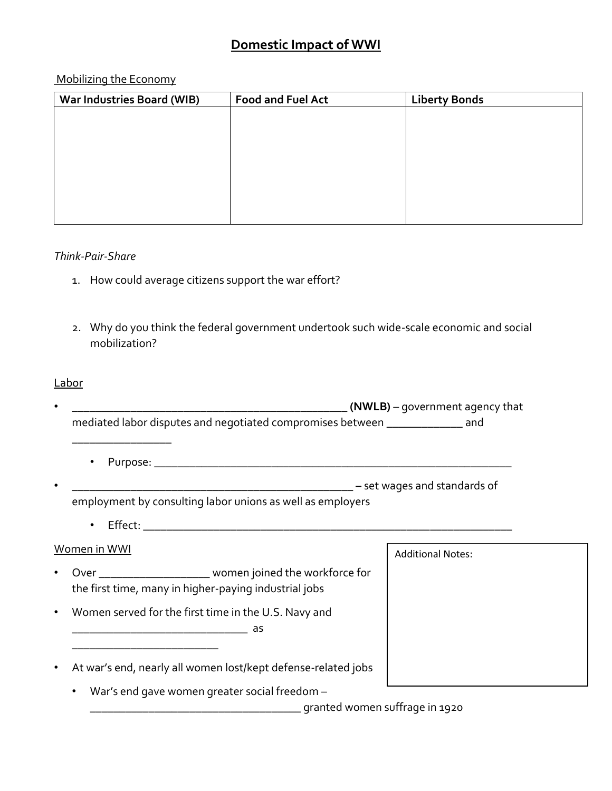## Mobilizing the Economy

| <b>War Industries Board (WIB)</b> | <b>Food and Fuel Act</b> | <b>Liberty Bonds</b> |  |
|-----------------------------------|--------------------------|----------------------|--|
|                                   |                          |                      |  |
|                                   |                          |                      |  |
|                                   |                          |                      |  |
|                                   |                          |                      |  |
|                                   |                          |                      |  |
|                                   |                          |                      |  |
|                                   |                          |                      |  |
|                                   |                          |                      |  |

#### *Think-Pair-Share*

- 1. How could average citizens support the war effort?
- 2. Why do you think the federal government undertook such wide-scale economic and social mobilization?

## Labor

|           | (NWLB) – government agency that                                                                                       |                          |  |
|-----------|-----------------------------------------------------------------------------------------------------------------------|--------------------------|--|
|           | mediated labor disputes and negotiated compromises between ______________ and                                         |                          |  |
|           |                                                                                                                       |                          |  |
|           |                                                                                                                       |                          |  |
|           | employment by consulting labor unions as well as employers                                                            |                          |  |
|           |                                                                                                                       |                          |  |
|           | Women in WWI                                                                                                          | <b>Additional Notes:</b> |  |
|           | Over ________________________ women joined the workforce for<br>the first time, many in higher-paying industrial jobs |                          |  |
| $\bullet$ | Women served for the first time in the U.S. Navy and                                                                  |                          |  |
|           | At war's end, nearly all women lost/kept defense-related jobs                                                         |                          |  |
|           | War's end gave women greater social freedom -<br>$\bullet$                                                            |                          |  |

**\_\_\_\_\_\_\_\_\_\_\_\_\_\_\_\_\_\_\_\_\_\_\_\_\_\_\_\_\_\_\_\_\_\_\_\_** granted women suffrage in 1920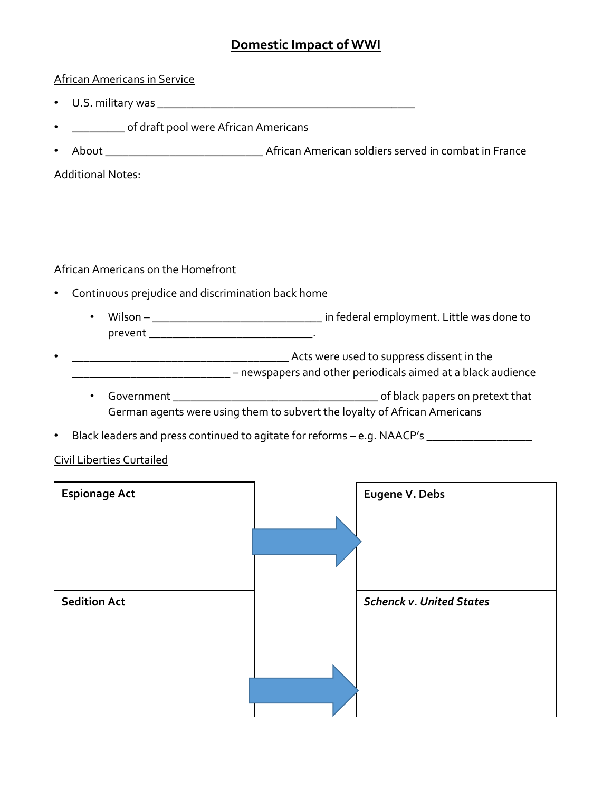### African Americans in Service

- U.S. military was **\_\_\_\_\_\_\_\_\_\_\_\_\_\_\_\_\_\_\_\_\_\_\_\_\_\_\_\_\_\_\_\_\_\_\_\_\_\_\_\_\_\_\_\_**
- **\_\_\_\_\_\_\_\_\_** of draft pool were African Americans
- About **\_\_\_\_\_\_\_\_\_\_\_\_\_\_\_\_\_\_\_\_\_\_\_\_\_\_\_** African American soldiers served in combat in France

Additional Notes:

### African Americans on the Homefront

- Continuous prejudice and discrimination back home
	- Wilson **\_\_\_\_\_\_\_\_\_\_\_\_\_\_\_\_\_\_\_\_\_\_\_\_\_\_\_\_\_** in federal employment. Little was done to prevent **\_\_\_\_\_\_\_\_\_\_\_\_\_\_\_\_\_\_\_\_\_\_\_\_\_\_\_\_**.
- **\_\_\_\_\_\_\_\_\_\_\_\_\_\_\_\_\_\_\_\_\_\_\_\_\_\_\_\_\_\_\_\_\_\_\_\_\_** Acts were used to suppress dissent in the **\_\_\_\_\_\_\_\_\_\_\_\_\_\_\_\_\_\_\_\_\_\_\_\_\_\_\_** – newspapers and other periodicals aimed at a black audience
	- Government **\_\_\_\_\_\_\_\_\_\_\_\_\_\_\_\_\_\_\_\_\_\_\_\_\_\_\_\_\_\_\_\_\_\_\_** of black papers on pretext that German agents were using them to subvert the loyalty of African Americans
- Black leaders and press continued to agitate for reforms e.g. NAACP's *\_\_\_\_\_\_\_\_\_\_\_\_\_\_\_\_\_\_*

### Civil Liberties Curtailed